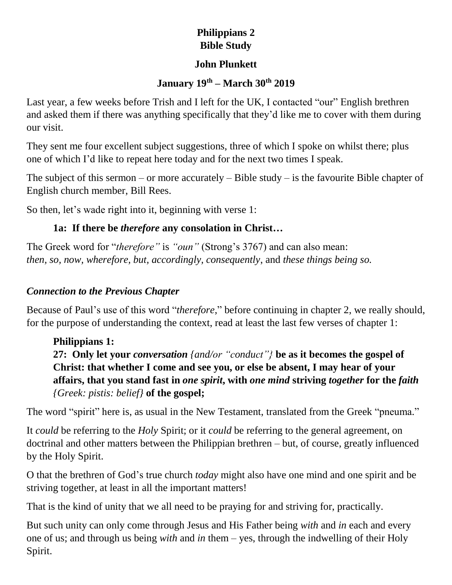#### **Philippians 2 Bible Study**

#### **John Plunkett**

#### **January 19th – March 30th 2019**

Last year, a few weeks before Trish and I left for the UK, I contacted "our" English brethren and asked them if there was anything specifically that they'd like me to cover with them during our visit.

They sent me four excellent subject suggestions, three of which I spoke on whilst there; plus one of which I'd like to repeat here today and for the next two times I speak.

The subject of this sermon – or more accurately – Bible study – is the favourite Bible chapter of English church member, Bill Rees.

So then, let's wade right into it, beginning with verse 1:

## **1a: If there be** *therefore* **any consolation in Christ…**

The Greek word for "*therefore"* is *"oun"* (Strong's 3767) and can also mean: *then, so, now, wherefore, but, accordingly, consequently*, and *these things being so.*

#### *Connection to the Previous Chapter*

Because of Paul's use of this word "*therefore*," before continuing in chapter 2, we really should, for the purpose of understanding the context, read at least the last few verses of chapter 1:

**Philippians 1: 27: Only let your** *conversation {and/or "conduct"}* **be as it becomes the gospel of Christ: that whether I come and see you, or else be absent, I may hear of your affairs, that you stand fast in** *one spirit***, with** *one mind* **striving** *together* **for the** *faith {Greek: pistis: belief}* **of the gospel;**

The word "spirit" here is, as usual in the New Testament, translated from the Greek "pneuma."

It *could* be referring to the *Holy* Spirit; or it *could* be referring to the general agreement, on doctrinal and other matters between the Philippian brethren – but, of course, greatly influenced by the Holy Spirit.

O that the brethren of God's true church *today* might also have one mind and one spirit and be striving together, at least in all the important matters!

That is the kind of unity that we all need to be praying for and striving for, practically.

But such unity can only come through Jesus and His Father being *with* and *in* each and every one of us; and through us being *with* and *in* them – yes, through the indwelling of their Holy Spirit.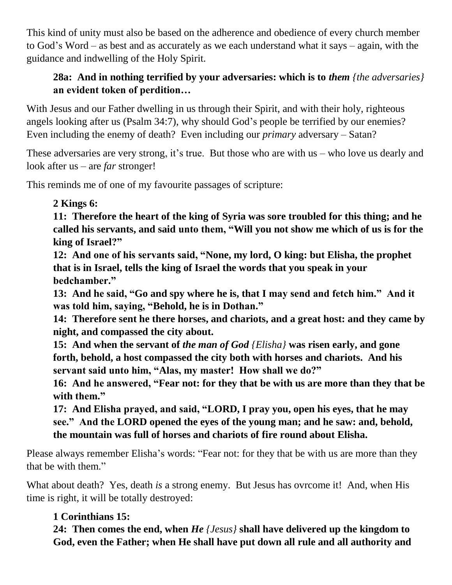This kind of unity must also be based on the adherence and obedience of every church member to God's Word – as best and as accurately as we each understand what it says – again, with the guidance and indwelling of the Holy Spirit.

## **28a: And in nothing terrified by your adversaries: which is to** *them {the adversaries}* **an evident token of perdition…**

With Jesus and our Father dwelling in us through their Spirit, and with their holy, righteous angels looking after us (Psalm 34:7), why should God's people be terrified by our enemies? Even including the enemy of death? Even including our *primary* adversary – Satan?

These adversaries are very strong, it's true. But those who are with us – who love us dearly and look after us – are *far* stronger!

This reminds me of one of my favourite passages of scripture:

#### **2 Kings 6:**

**11: Therefore the heart of the king of Syria was sore troubled for this thing; and he called his servants, and said unto them, "Will you not show me which of us is for the king of Israel?"**

**12: And one of his servants said, "None, my lord, O king: but Elisha, the prophet that is in Israel, tells the king of Israel the words that you speak in your bedchamber."**

**13: And he said, "Go and spy where he is, that I may send and fetch him." And it was told him, saying, "Behold, he is in Dothan."**

**14: Therefore sent he there horses, and chariots, and a great host: and they came by night, and compassed the city about.**

**15: And when the servant of** *the man of God {Elisha}* **was risen early, and gone forth, behold, a host compassed the city both with horses and chariots. And his servant said unto him, "Alas, my master! How shall we do?"**

**16: And he answered, "Fear not: for they that be with us are more than they that be with them."**

**17: And Elisha prayed, and said, "LORD, I pray you, open his eyes, that he may see." And the LORD opened the eyes of the young man; and he saw: and, behold, the mountain was full of horses and chariots of fire round about Elisha.**

Please always remember Elisha's words: "Fear not: for they that be with us are more than they that be with them."

What about death? Yes, death *is* a strong enemy. But Jesus has ovrcome it! And, when His time is right, it will be totally destroyed:

## **1 Corinthians 15:**

**24: Then comes the end, when** *He {Jesus}* **shall have delivered up the kingdom to God, even the Father; when He shall have put down all rule and all authority and**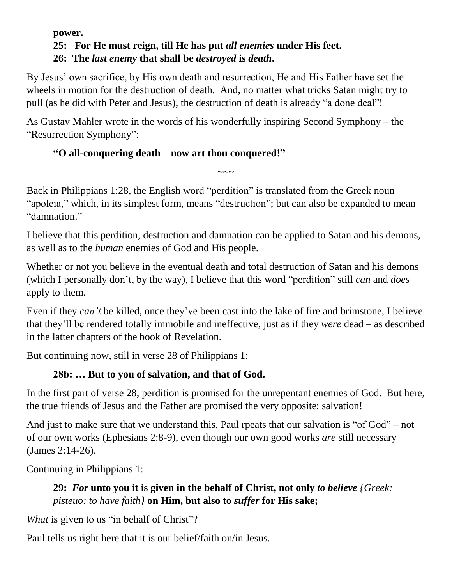#### **power. 25: For He must reign, till He has put** *all enemies* **under His feet. 26: The** *last enemy* **that shall be** *destroyed* **is** *death***.**

By Jesus' own sacrifice, by His own death and resurrection, He and His Father have set the wheels in motion for the destruction of death. And, no matter what tricks Satan might try to pull (as he did with Peter and Jesus), the destruction of death is already "a done deal"!

As Gustav Mahler wrote in the words of his wonderfully inspiring Second Symphony – the "Resurrection Symphony":

## **"O all-conquering death – now art thou conquered!"**

Back in Philippians 1:28, the English word "perdition" is translated from the Greek noun "apoleia," which, in its simplest form, means "destruction"; but can also be expanded to mean "damnation."

 $\sim\sim\sim$ 

I believe that this perdition, destruction and damnation can be applied to Satan and his demons, as well as to the *human* enemies of God and His people.

Whether or not you believe in the eventual death and total destruction of Satan and his demons (which I personally don't, by the way), I believe that this word "perdition" still *can* and *does* apply to them.

Even if they *can't* be killed, once they've been cast into the lake of fire and brimstone, I believe that they'll be rendered totally immobile and ineffective, just as if they *were* dead – as described in the latter chapters of the book of Revelation.

But continuing now, still in verse 28 of Philippians 1:

## **28b: … But to you of salvation, and that of God.**

In the first part of verse 28, perdition is promised for the unrepentant enemies of God. But here, the true friends of Jesus and the Father are promised the very opposite: salvation!

And just to make sure that we understand this, Paul rpeats that our salvation is "of God" – not of our own works (Ephesians 2:8-9), even though our own good works *are* still necessary (James 2:14-26).

Continuing in Philippians 1:

## **29:** *For* **unto you it is given in the behalf of Christ, not only** *to believe {Greek: pisteuo: to have faith}* **on Him, but also to** *suffer* **for His sake;**

*What* is given to us "in behalf of Christ"?

Paul tells us right here that it is our belief/faith on/in Jesus.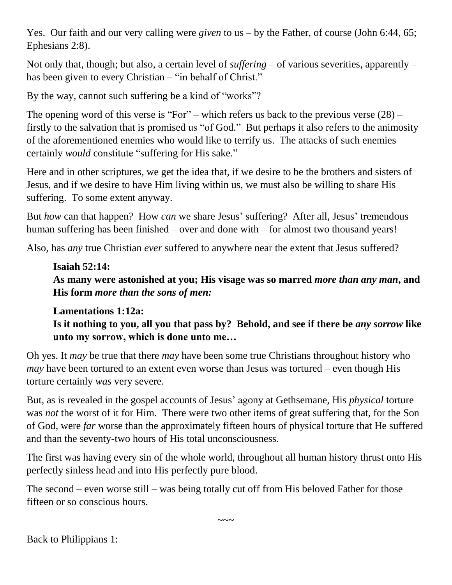Yes. Our faith and our very calling were *given* to us – by the Father, of course (John 6:44, 65; Ephesians 2:8).

Not only that, though; but also, a certain level of *suffering* – of various severities, apparently – has been given to every Christian – "in behalf of Christ."

By the way, cannot such suffering be a kind of "works"?

The opening word of this verse is "For" – which refers us back to the previous verse  $(28)$  – firstly to the salvation that is promised us "of God." But perhaps it also refers to the animosity of the aforementioned enemies who would like to terrify us. The attacks of such enemies certainly *would* constitute "suffering for His sake."

Here and in other scriptures, we get the idea that, if we desire to be the brothers and sisters of Jesus, and if we desire to have Him living within us, we must also be willing to share His suffering. To some extent anyway.

But *how* can that happen? How *can* we share Jesus' suffering? After all, Jesus' tremendous human suffering has been finished – over and done with – for almost two thousand years!

Also, has *any* true Christian *ever* suffered to anywhere near the extent that Jesus suffered?

#### **Isaiah 52:14:**

**As many were astonished at you; His visage was so marred** *more than any man***, and His form** *more than the sons of men:*

#### **Lamentations 1:12a:**

**Is it nothing to you, all you that pass by? Behold, and see if there be** *any sorrow* **like unto my sorrow, which is done unto me…**

Oh yes. It *may* be true that there *may* have been some true Christians throughout history who *may* have been tortured to an extent even worse than Jesus was tortured – even though His torture certainly *was* very severe.

But, as is revealed in the gospel accounts of Jesus' agony at Gethsemane, His *physical* torture was *not* the worst of it for Him. There were two other items of great suffering that, for the Son of God, were *far* worse than the approximately fifteen hours of physical torture that He suffered and than the seventy-two hours of His total unconsciousness.

The first was having every sin of the whole world, throughout all human history thrust onto His perfectly sinless head and into His perfectly pure blood.

 $\sim\sim\sim$ 

The second – even worse still – was being totally cut off from His beloved Father for those fifteen or so conscious hours.

Back to Philippians 1: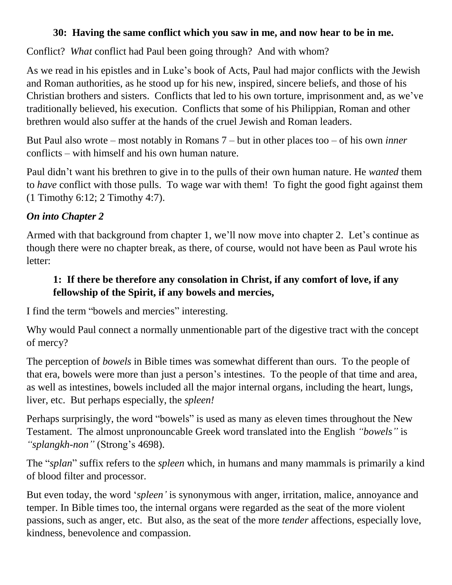#### **30: Having the same conflict which you saw in me, and now hear to be in me.**

Conflict? *What* conflict had Paul been going through? And with whom?

As we read in his epistles and in Luke's book of Acts, Paul had major conflicts with the Jewish and Roman authorities, as he stood up for his new, inspired, sincere beliefs, and those of his Christian brothers and sisters. Conflicts that led to his own torture, imprisonment and, as we've traditionally believed, his execution. Conflicts that some of his Philippian, Roman and other brethren would also suffer at the hands of the cruel Jewish and Roman leaders.

But Paul also wrote – most notably in Romans 7 – but in other places too – of his own *inner* conflicts – with himself and his own human nature.

Paul didn't want his brethren to give in to the pulls of their own human nature. He *wanted* them to *have* conflict with those pulls. To wage war with them! To fight the good fight against them (1 Timothy 6:12; 2 Timothy 4:7).

## *On into Chapter 2*

Armed with that background from chapter 1, we'll now move into chapter 2. Let's continue as though there were no chapter break, as there, of course, would not have been as Paul wrote his letter:

#### **1: If there be therefore any consolation in Christ, if any comfort of love, if any fellowship of the Spirit, if any bowels and mercies,**

I find the term "bowels and mercies" interesting.

Why would Paul connect a normally unmentionable part of the digestive tract with the concept of mercy?

The perception of *bowels* in Bible times was somewhat different than ours. To the people of that era, bowels were more than just a person's intestines. To the people of that time and area, as well as intestines, bowels included all the major internal organs, including the heart, lungs, liver, etc. But perhaps especially, the *spleen!*

Perhaps surprisingly, the word "bowels" is used as many as eleven times throughout the New Testament. The almost unpronouncable Greek word translated into the English *"bowels"* is *"splangkh-non"* (Strong's 4698).

The "*splan*" suffix refers to the *spleen* which, in humans and many mammals is primarily a kind of blood filter and processor.

But even today, the word '*spleen'* is synonymous with anger, irritation, malice, annoyance and temper. In Bible times too, the internal organs were regarded as the seat of the more violent passions, such as anger, etc. But also, as the seat of the more *tender* affections, especially love, kindness, benevolence and compassion.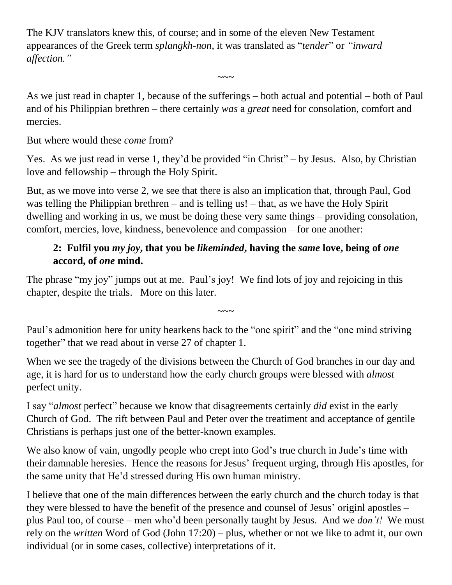The KJV translators knew this, of course; and in some of the eleven New Testament appearances of the Greek term *splangkh-non,* it was translated as "*tender*" or *"inward affection."*

As we just read in chapter 1, because of the sufferings – both actual and potential – both of Paul and of his Philippian brethren – there certainly *was* a *great* need for consolation, comfort and mercies.

 $\sim\sim\sim$ 

But where would these *come* from?

Yes. As we just read in verse 1, they'd be provided "in Christ" – by Jesus. Also, by Christian love and fellowship – through the Holy Spirit.

But, as we move into verse 2, we see that there is also an implication that, through Paul, God was telling the Philippian brethren – and is telling us! – that, as we have the Holy Spirit dwelling and working in us, we must be doing these very same things – providing consolation, comfort, mercies, love, kindness, benevolence and compassion – for one another:

#### **2: Fulfil you** *my joy***, that you be** *likeminded***, having the** *same* **love, being of** *one* **accord, of** *one* **mind.**

The phrase "my joy" jumps out at me. Paul's joy! We find lots of joy and rejoicing in this chapter, despite the trials. More on this later.

Paul's admonition here for unity hearkens back to the "one spirit" and the "one mind striving together" that we read about in verse 27 of chapter 1.

 $\sim\sim\sim$ 

When we see the tragedy of the divisions between the Church of God branches in our day and age, it is hard for us to understand how the early church groups were blessed with *almost* perfect unity.

I say "*almost* perfect" because we know that disagreements certainly *did* exist in the early Church of God. The rift between Paul and Peter over the treatiment and acceptance of gentile Christians is perhaps just one of the better-known examples.

We also know of vain, ungodly people who crept into God's true church in Jude's time with their damnable heresies. Hence the reasons for Jesus' frequent urging, through His apostles, for the same unity that He'd stressed during His own human ministry.

I believe that one of the main differences between the early church and the church today is that they were blessed to have the benefit of the presence and counsel of Jesus' originl apostles – plus Paul too, of course – men who'd been personally taught by Jesus. And we *don't!* We must rely on the *written* Word of God (John 17:20) – plus, whether or not we like to admt it, our own individual (or in some cases, collective) interpretations of it.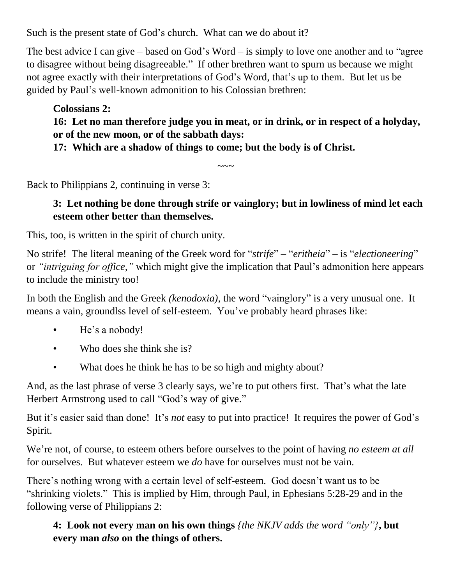Such is the present state of God's church. What can we do about it?

The best advice I can give – based on God's Word – is simply to love one another and to "agree to disagree without being disagreeable." If other brethren want to spurn us because we might not agree exactly with their interpretations of God's Word, that's up to them. But let us be guided by Paul's well-known admonition to his Colossian brethren:

**Colossians 2: 16: Let no man therefore judge you in meat, or in drink, or in respect of a holyday, or of the new moon, or of the sabbath days: 17: Which are a shadow of things to come; but the body is of Christ.**

 $\sim\sim\sim$ 

Back to Philippians 2, continuing in verse 3:

#### **3: Let nothing be done through strife or vainglory; but in lowliness of mind let each esteem other better than themselves.**

This, too, is written in the spirit of church unity.

No strife! The literal meaning of the Greek word for "*strife*" – "*eritheia*" – is "*electioneering*" or *"intriguing for office,"* which might give the implication that Paul's admonition here appears to include the ministry too!

In both the English and the Greek *(kenodoxia)*, the word "vainglory" is a very unusual one. It means a vain, groundlss level of self-esteem. You've probably heard phrases like:

- He's a nobody!
- Who does she think she is?
- What does he think he has to be so high and mighty about?

And, as the last phrase of verse 3 clearly says, we're to put others first. That's what the late Herbert Armstrong used to call "God's way of give."

But it's easier said than done! It's *not* easy to put into practice! It requires the power of God's Spirit.

We're not, of course, to esteem others before ourselves to the point of having *no esteem at all* for ourselves. But whatever esteem we *do* have for ourselves must not be vain.

There's nothing wrong with a certain level of self-esteem. God doesn't want us to be "shrinking violets." This is implied by Him, through Paul, in Ephesians 5:28-29 and in the following verse of Philippians 2:

**4: Look not every man on his own things** *{the NKJV adds the word "only"}***, but every man** *also* **on the things of others.**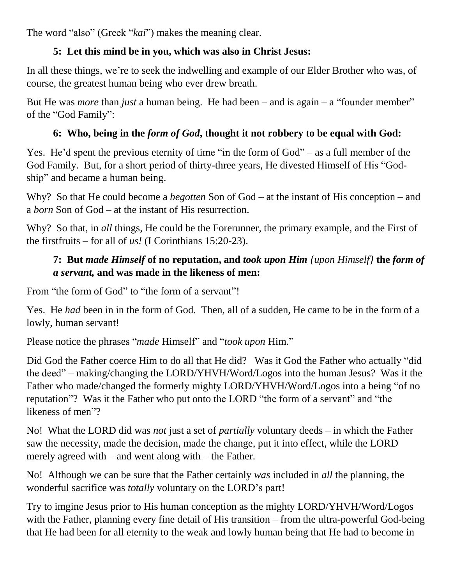The word "also" (Greek "*kai*") makes the meaning clear.

## **5: Let this mind be in you, which was also in Christ Jesus:**

In all these things, we're to seek the indwelling and example of our Elder Brother who was, of course, the greatest human being who ever drew breath.

But He was *more* than *just* a human being. He had been – and is again – a "founder member" of the "God Family":

## **6: Who, being in the** *form of God***, thought it not robbery to be equal with God:**

Yes. He'd spent the previous eternity of time "in the form of God" – as a full member of the God Family. But, for a short period of thirty-three years, He divested Himself of His "Godship" and became a human being.

Why? So that He could become a *begotten* Son of God – at the instant of His conception – and a *born* Son of God – at the instant of His resurrection.

Why? So that, in *all* things, He could be the Forerunner, the primary example, and the First of the firstfruits – for all of *us!* (I Corinthians 15:20-23).

#### **7: But** *made Himself* **of no reputation, and** *took upon Him {upon Himself}* **the** *form of a servant,* **and was made in the likeness of men:**

From "the form of God" to "the form of a servant"!

Yes. He *had* been in in the form of God. Then, all of a sudden, He came to be in the form of a lowly, human servant!

Please notice the phrases "*made* Himself" and "*took upon* Him."

Did God the Father coerce Him to do all that He did? Was it God the Father who actually "did the deed" – making/changing the LORD/YHVH/Word/Logos into the human Jesus? Was it the Father who made/changed the formerly mighty LORD/YHVH/Word/Logos into a being "of no reputation"? Was it the Father who put onto the LORD "the form of a servant" and "the likeness of men"?

No! What the LORD did was *not* just a set of *partially* voluntary deeds – in which the Father saw the necessity, made the decision, made the change, put it into effect, while the LORD merely agreed with – and went along with – the Father.

No! Although we can be sure that the Father certainly *was* included in *all* the planning, the wonderful sacrifice was *totally* voluntary on the LORD's part!

Try to imgine Jesus prior to His human conception as the mighty LORD/YHVH/Word/Logos with the Father, planning every fine detail of His transition – from the ultra-powerful God-being that He had been for all eternity to the weak and lowly human being that He had to become in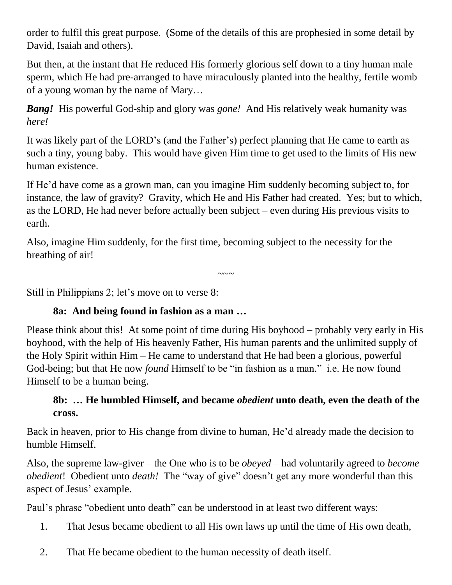order to fulfil this great purpose. (Some of the details of this are prophesied in some detail by David, Isaiah and others).

But then, at the instant that He reduced His formerly glorious self down to a tiny human male sperm, which He had pre-arranged to have miraculously planted into the healthy, fertile womb of a young woman by the name of Mary…

*Bang!* His powerful God-ship and glory was *gone!* And His relatively weak humanity was *here!*

It was likely part of the LORD's (and the Father's) perfect planning that He came to earth as such a tiny, young baby. This would have given Him time to get used to the limits of His new human existence.

If He'd have come as a grown man, can you imagine Him suddenly becoming subject to, for instance, the law of gravity? Gravity, which He and His Father had created. Yes; but to which, as the LORD, He had never before actually been subject – even during His previous visits to earth.

Also, imagine Him suddenly, for the first time, becoming subject to the necessity for the breathing of air!

 $\sim\sim\sim$ 

Still in Philippians 2; let's move on to verse 8:

#### **8a: And being found in fashion as a man …**

Please think about this! At some point of time during His boyhood – probably very early in His boyhood, with the help of His heavenly Father, His human parents and the unlimited supply of the Holy Spirit within Him – He came to understand that He had been a glorious, powerful God-being; but that He now *found* Himself to be "in fashion as a man." i.e. He now found Himself to be a human being.

#### **8b: … He humbled Himself, and became** *obedient* **unto death, even the death of the cross.**

Back in heaven, prior to His change from divine to human, He'd already made the decision to humble Himself.

Also, the supreme law-giver – the One who is to be *obeyed* – had voluntarily agreed to *become obedient*! Obedient unto *death!* The "way of give" doesn't get any more wonderful than this aspect of Jesus' example.

Paul's phrase "obedient unto death" can be understood in at least two different ways:

- 1. That Jesus became obedient to all His own laws up until the time of His own death,
- 2. That He became obedient to the human necessity of death itself.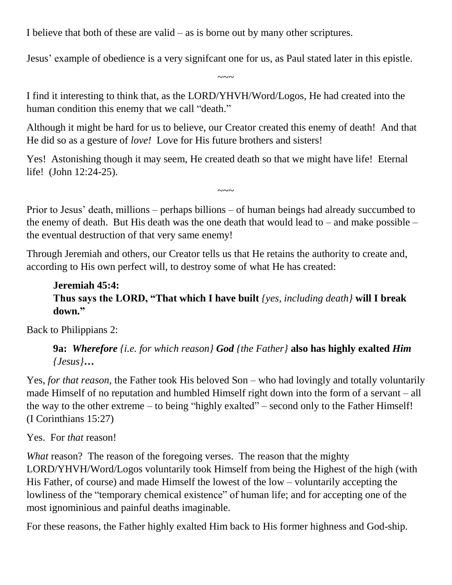I believe that both of these are valid – as is borne out by many other scriptures.

Jesus' example of obedience is a very signifcant one for us, as Paul stated later in this epistle.

 $\sim\sim\sim$ 

I find it interesting to think that, as the LORD/YHVH/Word/Logos, He had created into the human condition this enemy that we call "death."

Although it might be hard for us to believe, our Creator created this enemy of death! And that He did so as a gesture of *love!* Love for His future brothers and sisters!

Yes! Astonishing though it may seem, He created death so that we might have life! Eternal life! (John 12:24-25).

Prior to Jesus' death, millions – perhaps billions – of human beings had already succumbed to the enemy of death. But His death was the one death that would lead to – and make possible – the eventual destruction of that very same enemy!

 $\sim\sim\sim$ 

Through Jeremiah and others, our Creator tells us that He retains the authority to create and, according to His own perfect will, to destroy some of what He has created:

#### **Jeremiah 45:4: Thus says the LORD, "That which I have built** *{yes, including death}* **will I break down."**

Back to Philippians 2:

**9a:** *Wherefore {i.e. for which reason} God {the Father}* **also has highly exalted** *Him {Jesus}***…**

Yes, *for that reason,* the Father took His beloved Son – who had lovingly and totally voluntarily made Himself of no reputation and humbled Himself right down into the form of a servant – all the way to the other extreme – to being "highly exalted" – second only to the Father Himself! (I Corinthians 15:27)

#### Yes. For *that* reason!

*What* reason? The reason of the foregoing verses. The reason that the mighty LORD/YHVH/Word/Logos voluntarily took Himself from being the Highest of the high (with His Father, of course) and made Himself the lowest of the low – voluntarily accepting the lowliness of the "temporary chemical existence" of human life; and for accepting one of the most ignominious and painful deaths imaginable.

For these reasons, the Father highly exalted Him back to His former highness and God-ship.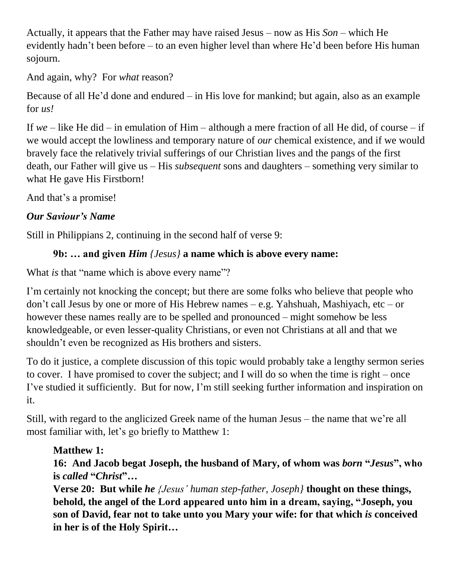Actually, it appears that the Father may have raised Jesus – now as His *Son* – which He evidently hadn't been before – to an even higher level than where He'd been before His human sojourn.

And again, why? For *what* reason?

Because of all He'd done and endured – in His love for mankind; but again, also as an example for *us!*

If *we* – like He did – in emulation of Him – although a mere fraction of all He did, of course – if we would accept the lowliness and temporary nature of *our* chemical existence, and if we would bravely face the relatively trivial sufferings of our Christian lives and the pangs of the first death, our Father will give us – His *subsequent* sons and daughters – something very similar to what He gave His Firstborn!

And that's a promise!

#### *Our Saviour's Name*

Still in Philippians 2, continuing in the second half of verse 9:

## **9b: … and given** *Him {Jesus}* **a name which is above every name:**

What *is* that "name which is above every name"?

I'm certainly not knocking the concept; but there are some folks who believe that people who don't call Jesus by one or more of His Hebrew names – e.g. Yahshuah, Mashiyach, etc – or however these names really are to be spelled and pronounced – might somehow be less knowledgeable, or even lesser-quality Christians, or even not Christians at all and that we shouldn't even be recognized as His brothers and sisters.

To do it justice, a complete discussion of this topic would probably take a lengthy sermon series to cover. I have promised to cover the subject; and I will do so when the time is right – once I've studied it sufficiently. But for now, I'm still seeking further information and inspiration on it.

Still, with regard to the anglicized Greek name of the human Jesus – the name that we're all most familiar with, let's go briefly to Matthew 1:

## **Matthew 1:**

**16: And Jacob begat Joseph, the husband of Mary, of whom was** *born* **"***Jesus***", who is** *called* **"***Christ***"…**

**Verse 20: But while** *he {Jesus' human step-father, Joseph}* **thought on these things, behold, the angel of the Lord appeared unto him in a dream, saying, "Joseph, you son of David, fear not to take unto you Mary your wife: for that which** *is* **conceived in her is of the Holy Spirit…**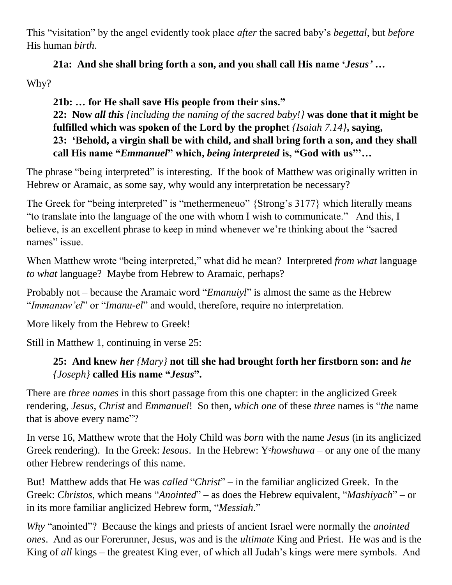This "visitation" by the angel evidently took place *after* the sacred baby's *begettal*, but *before* His human *birth*.

**21a: And she shall bring forth a son, and you shall call His name '***Jesus'* **…**  Why?

**21b: … for He shall save His people from their sins." 22: Now** *all this {including the naming of the sacred baby!}* **was done that it might be fulfilled which was spoken of the Lord by the prophet** *{Isaiah 7.14}***, saying, 23: 'Behold, a virgin shall be with child, and shall bring forth a son, and they shall call His name "***Emmanuel***" which,** *being interpreted* **is, "God with us"'…**

The phrase "being interpreted" is interesting. If the book of Matthew was originally written in Hebrew or Aramaic, as some say, why would any interpretation be necessary?

The Greek for "being interpreted" is "methermeneuo" {Strong's 3177} which literally means "to translate into the language of the one with whom I wish to communicate." And this, I believe, is an excellent phrase to keep in mind whenever we're thinking about the "sacred names" issue.

When Matthew wrote "being interpreted," what did he mean? Interpreted *from what* language *to what* language? Maybe from Hebrew to Aramaic, perhaps?

Probably not – because the Aramaic word "*Emanuiyl*" is almost the same as the Hebrew "*Immanuw'el*" or "*Imanu-el*" and would, therefore, require no interpretation.

More likely from the Hebrew to Greek!

Still in Matthew 1, continuing in verse 25:

#### **25: And knew** *her {Mary}* **not till she had brought forth her firstborn son: and** *he {Joseph}* **called His name "***Jesus***".**

There are *three names* in this short passage from this one chapter: in the anglicized Greek rendering, *Jesus*, *Christ* and *Emmanuel*! So then, *which one* of these *three* names is "*the* name that is above every name"?

In verse 16, Matthew wrote that the Holy Child was *born* with the name *Jesus* (in its anglicized Greek rendering). In the Greek: *Iesous*. In the Hebrew: Y<sup>*ehowshuwa* – or any one of the many</sup> other Hebrew renderings of this name.

But! Matthew adds that He was *called* "*Christ*" – in the familiar anglicized Greek. In the Greek: *Christos*, which means "*Anointed*" – as does the Hebrew equivalent, "*Mashiyach*" – or in its more familiar anglicized Hebrew form, "*Messiah*."

*Why* "anointed"? Because the kings and priests of ancient Israel were normally the *anointed ones*. And as our Forerunner, Jesus, was and is the *ultimate* King and Priest. He was and is the King of *all* kings – the greatest King ever, of which all Judah's kings were mere symbols. And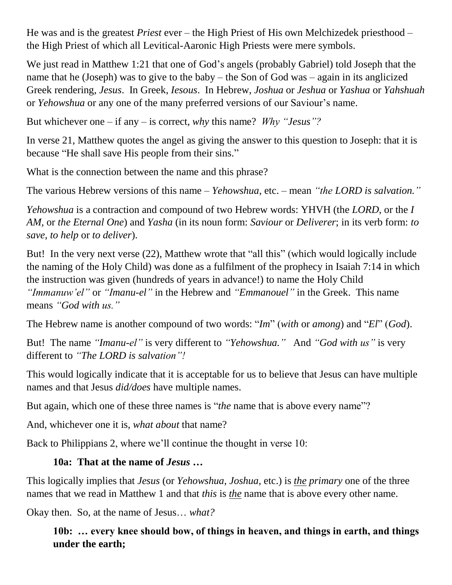He was and is the greatest *Priest* ever – the High Priest of His own Melchizedek priesthood – the High Priest of which all Levitical-Aaronic High Priests were mere symbols.

We just read in Matthew 1:21 that one of God's angels (probably Gabriel) told Joseph that the name that he (Joseph) was to give to the baby – the Son of God was – again in its anglicized Greek rendering, *Jesus*. In Greek, *Iesous*. In Hebrew, *Joshua* or *Jeshua* or *Yashua* or *Yahshuah* or *Yehowshua* or any one of the many preferred versions of our Saviour's name.

But whichever one – if any – is correct, *why* this name? *Why "Jesus"?*

In verse 21, Matthew quotes the angel as giving the answer to this question to Joseph: that it is because "He shall save His people from their sins."

What is the connection between the name and this phrase?

The various Hebrew versions of this name – *Yehowshua*, etc. – mean *"the LORD is salvation."*

*Yehowshua* is a contraction and compound of two Hebrew words: YHVH (the *LORD*, or the *I AM,* or *the Eternal One*) and *Yasha* (in its noun form: *Saviour* or *Deliverer*; in its verb form: *to save*, *to help* or *to deliver*).

But! In the very next verse (22), Matthew wrote that "all this" (which would logically include the naming of the Holy Child) was done as a fulfilment of the prophecy in Isaiah 7:14 in which the instruction was given (hundreds of years in advance!) to name the Holy Child *"Immanuw'el"* or *"Imanu-el"* in the Hebrew and *"Emmanouel"* in the Greek. This name means *"God with us."*

The Hebrew name is another compound of two words: "*Im*" (*with* or *among*) and "*El*" (*God*).

But! The name *"Imanu-el"* is very different to *"Yehowshua."* And *"God with us"* is very different to *"The LORD is salvation"!*

This would logically indicate that it is acceptable for us to believe that Jesus can have multiple names and that Jesus *did/does* have multiple names.

But again, which one of these three names is "*the* name that is above every name"?

And, whichever one it is, *what about* that name?

Back to Philippians 2, where we'll continue the thought in verse 10:

#### **10a: That at the name of** *Jesus* **…**

This logically implies that *Jesus* (or *Yehowshua*, *Joshua*, etc.) is *the primary* one of the three names that we read in Matthew 1 and that *this* is *the* name that is above every other name.

Okay then. So, at the name of Jesus… *what?*

**10b: … every knee should bow, of things in heaven, and things in earth, and things under the earth;**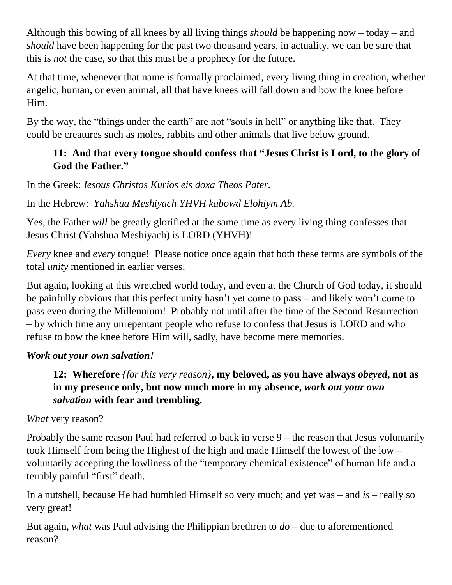Although this bowing of all knees by all living things *should* be happening now – today – and *should* have been happening for the past two thousand years, in actuality, we can be sure that this is *not* the case, so that this must be a prophecy for the future.

At that time, whenever that name is formally proclaimed, every living thing in creation, whether angelic, human, or even animal, all that have knees will fall down and bow the knee before Him.

By the way, the "things under the earth" are not "souls in hell" or anything like that. They could be creatures such as moles, rabbits and other animals that live below ground.

#### **11: And that every tongue should confess that "Jesus Christ is Lord, to the glory of God the Father."**

In the Greek: *Iesous Christos Kurios eis doxa Theos Pater.*

In the Hebrew: *Yahshua Meshiyach YHVH kabowd Elohiym Ab.*

Yes, the Father *will* be greatly glorified at the same time as every living thing confesses that Jesus Christ (Yahshua Meshiyach) is LORD (YHVH)!

*Every* knee and *every* tongue! Please notice once again that both these terms are symbols of the total *unity* mentioned in earlier verses.

But again, looking at this wretched world today, and even at the Church of God today, it should be painfully obvious that this perfect unity hasn't yet come to pass – and likely won't come to pass even during the Millennium! Probably not until after the time of the Second Resurrection – by which time any unrepentant people who refuse to confess that Jesus is LORD and who refuse to bow the knee before Him will, sadly, have become mere memories.

#### *Work out your own salvation!*

**12: Wherefore** *{for this very reason}***, my beloved, as you have always** *obeyed***, not as in my presence only, but now much more in my absence,** *work out your own salvation* **with fear and trembling.**

*What* very reason?

Probably the same reason Paul had referred to back in verse 9 – the reason that Jesus voluntarily took Himself from being the Highest of the high and made Himself the lowest of the low – voluntarily accepting the lowliness of the "temporary chemical existence" of human life and a terribly painful "first" death.

In a nutshell, because He had humbled Himself so very much; and yet was – and *is* – really so very great!

But again, *what* was Paul advising the Philippian brethren to *do* – due to aforementioned reason?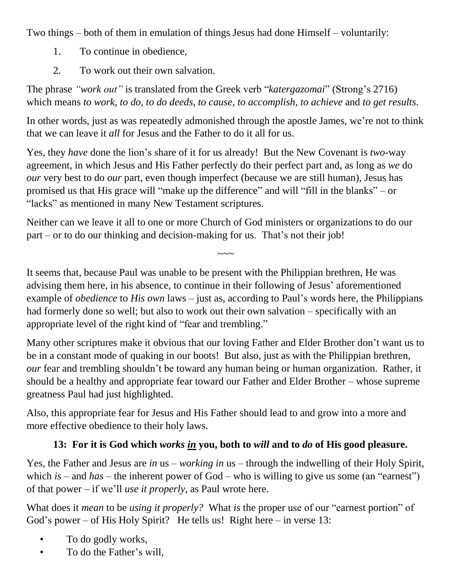Two things – both of them in emulation of things Jesus had done Himself – voluntarily:

- 1. To continue in obedience,
- 2. To work out their own salvation.

The phrase *"work out"* is translated from the Greek verb "*katergazomai*" (Strong's 2716) which means *to work, to do, to do deeds, to cause, to accomplish, to achieve* and *to get results.*

In other words, just as was repeatedly admonished through the apostle James, we're not to think that we can leave it *all* for Jesus and the Father to do it all for us.

Yes, they *have* done the lion's share of it for us already! But the New Covenant is *two*-way agreement, in which Jesus and His Father perfectly do their perfect part and, as long as *we* do *our* very best to do *our* part, even though imperfect (because we are still human), Jesus has promised us that His grace will "make up the difference" and will "fill in the blanks" – or "lacks" as mentioned in many New Testament scriptures.

Neither can we leave it all to one or more Church of God ministers or organizations to do our part – or to do our thinking and decision-making for us. That's not their job!

It seems that, because Paul was unable to be present with the Philippian brethren, He was advising them here, in his absence, to continue in their following of Jesus' aforementioned example of *obedience* to *His own* laws – just as, according to Paul's words here, the Philippians had formerly done so well; but also to work out their own salvation – specifically with an appropriate level of the right kind of "fear and trembling."

 $\sim\sim\sim$ 

Many other scriptures make it obvious that our loving Father and Elder Brother don't want us to be in a constant mode of quaking in our boots! But also, just as with the Philippian brethren, *our* fear and trembling shouldn't be toward any human being or human organization. Rather, it should be a healthy and appropriate fear toward our Father and Elder Brother – whose supreme greatness Paul had just highlighted.

Also, this appropriate fear for Jesus and His Father should lead to and grow into a more and more effective obedience to their holy laws.

# **13: For it is God which** *works in* **you, both to** *will* **and to** *do* **of His good pleasure.**

Yes, the Father and Jesus are *in* us – *working in* us – through the indwelling of their Holy Spirit, which *is* – and *has* – the inherent power of God – who is willing to give us some (an "earnest") of that power – if we'll *use it properly*, as Paul wrote here.

What does it *mean* to be *using it properly?* What *is* the proper use of our "earnest portion" of God's power – of His Holy Spirit? He tells us! Right here – in verse 13:

- To do godly works,
- To do the Father's will,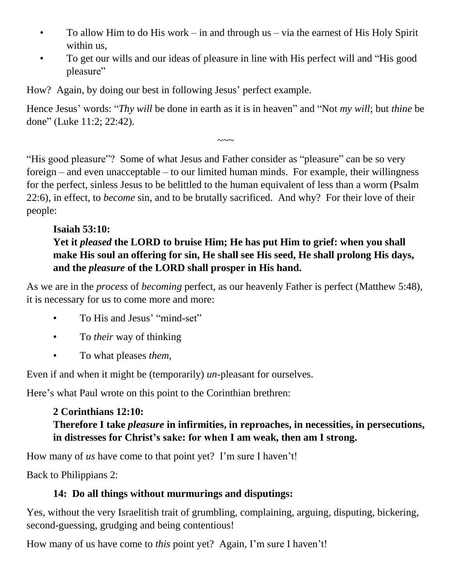- To allow Him to do His work in and through us via the earnest of His Holy Spirit within us,
- To get our wills and our ideas of pleasure in line with His perfect will and "His good pleasure"

How? Again, by doing our best in following Jesus' perfect example.

Hence Jesus' words: "*Thy will* be done in earth as it is in heaven" and "Not *my will*; but *thine* be done" (Luke 11:2; 22:42).

 $\sim\sim\sim$ 

"His good pleasure"? Some of what Jesus and Father consider as "pleasure" can be so very foreign – and even unacceptable – to our limited human minds. For example, their willingness for the perfect, sinless Jesus to be belittled to the human equivalent of less than a worm (Psalm 22:6), in effect, to *become* sin, and to be brutally sacrificed. And why? For their love of their people:

#### **Isaiah 53:10: Yet it** *pleased* **the LORD to bruise Him; He has put Him to grief: when you shall make His soul an offering for sin, He shall see His seed, He shall prolong His days, and the** *pleasure* **of the LORD shall prosper in His hand.**

As we are in the *process* of *becoming* perfect, as our heavenly Father is perfect (Matthew 5:48), it is necessary for us to come more and more:

- To His and Jesus' "mind-set"
- To *their* way of thinking
- To what pleases *them*,

Even if and when it might be (temporarily) *un*-pleasant for ourselves.

Here's what Paul wrote on this point to the Corinthian brethren:

#### **2 Corinthians 12:10: Therefore I take** *pleasure* **in infirmities, in reproaches, in necessities, in persecutions, in distresses for Christ's sake: for when I am weak, then am I strong.**

How many of *us* have come to that point yet? I'm sure I haven't!

Back to Philippians 2:

## **14: Do all things without murmurings and disputings:**

Yes, without the very Israelitish trait of grumbling, complaining, arguing, disputing, bickering, second-guessing, grudging and being contentious!

How many of us have come to *this* point yet? Again, I'm sure I haven't!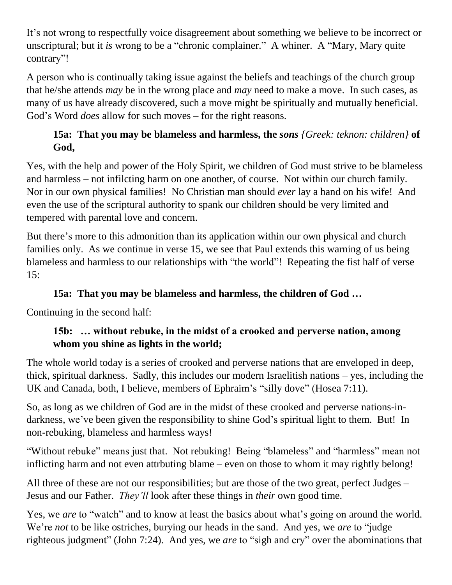It's not wrong to respectfully voice disagreement about something we believe to be incorrect or unscriptural; but it *is* wrong to be a "chronic complainer." A whiner. A "Mary, Mary quite contrary"!

A person who is continually taking issue against the beliefs and teachings of the church group that he/she attends *may* be in the wrong place and *may* need to make a move. In such cases, as many of us have already discovered, such a move might be spiritually and mutually beneficial. God's Word *does* allow for such moves – for the right reasons.

## **15a: That you may be blameless and harmless, the** *sons {Greek: teknon: children}* **of God,**

Yes, with the help and power of the Holy Spirit, we children of God must strive to be blameless and harmless – not infilcting harm on one another, of course. Not within our church family. Nor in our own physical families! No Christian man should *ever* lay a hand on his wife! And even the use of the scriptural authority to spank our children should be very limited and tempered with parental love and concern.

But there's more to this admonition than its application within our own physical and church families only. As we continue in verse 15, we see that Paul extends this warning of us being blameless and harmless to our relationships with "the world"! Repeating the fist half of verse 15:

#### **15a: That you may be blameless and harmless, the children of God …**

Continuing in the second half:

#### **15b: … without rebuke, in the midst of a crooked and perverse nation, among whom you shine as lights in the world;**

The whole world today is a series of crooked and perverse nations that are enveloped in deep, thick, spiritual darkness. Sadly, this includes our modern Israelitish nations – yes, including the UK and Canada, both, I believe, members of Ephraim's "silly dove" (Hosea 7:11).

So, as long as we children of God are in the midst of these crooked and perverse nations-indarkness, we've been given the responsibility to shine God's spiritual light to them. But! In non-rebuking, blameless and harmless ways!

"Without rebuke" means just that. Not rebuking! Being "blameless" and "harmless" mean not inflicting harm and not even attrbuting blame – even on those to whom it may rightly belong!

All three of these are not our responsibilities; but are those of the two great, perfect Judges – Jesus and our Father. *They'll* look after these things in *their* own good time.

Yes, we *are* to "watch" and to know at least the basics about what's going on around the world. We're *not* to be like ostriches, burying our heads in the sand. And yes, we *are* to "judge righteous judgment" (John 7:24). And yes, we *are* to "sigh and cry" over the abominations that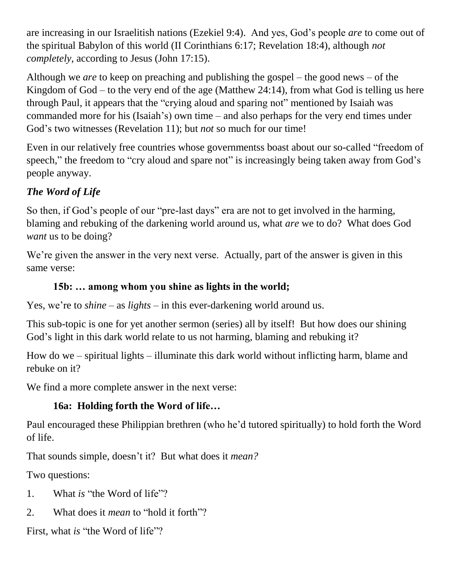are increasing in our Israelitish nations (Ezekiel 9:4). And yes, God's people *are* to come out of the spiritual Babylon of this world (II Corinthians 6:17; Revelation 18:4), although *not completely*, according to Jesus (John 17:15).

Although we *are* to keep on preaching and publishing the gospel – the good news – of the Kingdom of God – to the very end of the age (Matthew 24:14), from what God is telling us here through Paul, it appears that the "crying aloud and sparing not" mentioned by Isaiah was commanded more for his (Isaiah's) own time – and also perhaps for the very end times under God's two witnesses (Revelation 11); but *not* so much for our time!

Even in our relatively free countries whose governmentss boast about our so-called "freedom of speech," the freedom to "cry aloud and spare not" is increasingly being taken away from God's people anyway.

# *The Word of Life*

So then, if God's people of our "pre-last days" era are not to get involved in the harming, blaming and rebuking of the darkening world around us, what *are* we to do? What does God *want* us to be doing?

We're given the answer in the very next verse. Actually, part of the answer is given in this same verse:

## **15b: … among whom you shine as lights in the world;**

Yes, we're to *shine* – as *lights* – in this ever-darkening world around us.

This sub-topic is one for yet another sermon (series) all by itself! But how does our shining God's light in this dark world relate to us not harming, blaming and rebuking it?

How do we – spiritual lights – illuminate this dark world without inflicting harm, blame and rebuke on it?

We find a more complete answer in the next verse:

# **16a: Holding forth the Word of life…**

Paul encouraged these Philippian brethren (who he'd tutored spiritually) to hold forth the Word of life.

That sounds simple, doesn't it? But what does it *mean?*

Two questions:

- 1. What *is* "the Word of life"?
- 2. What does it *mean* to "hold it forth"?

First, what *is* "the Word of life"?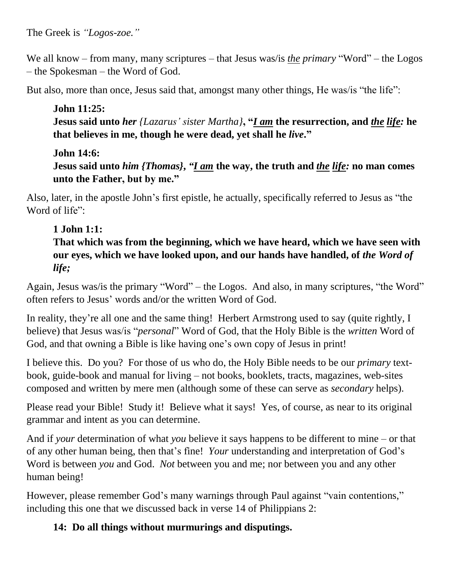We all know – from many, many scriptures – that Jesus was/is *the primary* "Word" – the Logos – the Spokesman – the Word of God.

But also, more than once, Jesus said that, amongst many other things, He was/is "the life":

**John 11:25: Jesus said unto** *her {Lazarus' sister Martha}***, "***I am* **the resurrection, and** *the life:* **he that believes in me, though he were dead, yet shall he** *live***."**

#### **John 14:6:**

**Jesus said unto** *him {Thomas}***,**  *"I am* **the way, the truth and** *the life:* **no man comes unto the Father, but by me."**

Also, later, in the apostle John's first epistle, he actually, specifically referred to Jesus as "the Word of life":

# **1 John 1:1:**

**That which was from the beginning, which we have heard, which we have seen with our eyes, which we have looked upon, and our hands have handled, of** *the Word of life;*

Again, Jesus was/is the primary "Word" – the Logos. And also, in many scriptures, "the Word" often refers to Jesus' words and/or the written Word of God.

In reality, they're all one and the same thing! Herbert Armstrong used to say (quite rightly, I believe) that Jesus was/is "*personal*" Word of God, that the Holy Bible is the *written* Word of God, and that owning a Bible is like having one's own copy of Jesus in print!

I believe this. Do you? For those of us who do, the Holy Bible needs to be our *primary* textbook, guide-book and manual for living – not books, booklets, tracts, magazines, web-sites composed and written by mere men (although some of these can serve as *secondary* helps).

Please read your Bible! Study it! Believe what it says! Yes, of course, as near to its original grammar and intent as you can determine.

And if *your* determination of what *you* believe it says happens to be different to mine – or that of any other human being, then that's fine! *Your* understanding and interpretation of God's Word is between *you* and God. *Not* between you and me; nor between you and any other human being!

However, please remember God's many warnings through Paul against "vain contentions," including this one that we discussed back in verse 14 of Philippians 2:

## **14: Do all things without murmurings and disputings.**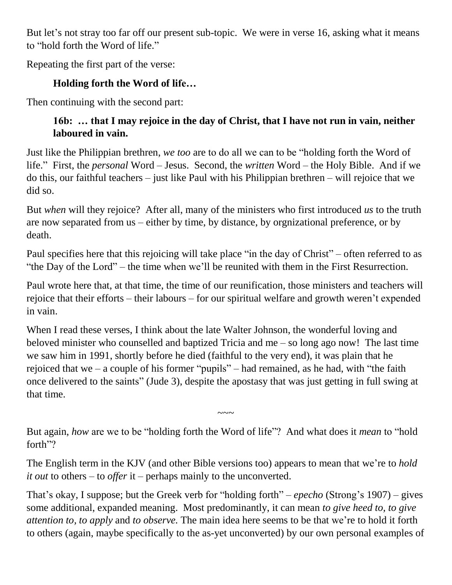But let's not stray too far off our present sub-topic. We were in verse 16, asking what it means to "hold forth the Word of life."

Repeating the first part of the verse:

## **Holding forth the Word of life…**

Then continuing with the second part:

## **16b: … that I may rejoice in the day of Christ, that I have not run in vain, neither laboured in vain.**

Just like the Philippian brethren, *we too* are to do all we can to be "holding forth the Word of life." First, the *personal* Word – Jesus. Second, the *written* Word – the Holy Bible. And if we do this, our faithful teachers – just like Paul with his Philippian brethren – will rejoice that we did so.

But *when* will they rejoice? After all, many of the ministers who first introduced *us* to the truth are now separated from us – either by time, by distance, by orgnizational preference, or by death.

Paul specifies here that this rejoicing will take place "in the day of Christ" – often referred to as "the Day of the Lord" – the time when we'll be reunited with them in the First Resurrection.

Paul wrote here that, at that time, the time of our reunification, those ministers and teachers will rejoice that their efforts – their labours – for our spiritual welfare and growth weren't expended in vain.

When I read these verses, I think about the late Walter Johnson, the wonderful loving and beloved minister who counselled and baptized Tricia and me – so long ago now! The last time we saw him in 1991, shortly before he died (faithful to the very end), it was plain that he rejoiced that we – a couple of his former "pupils" – had remained, as he had, with "the faith" once delivered to the saints" (Jude 3), despite the apostasy that was just getting in full swing at that time.

But again, *how* are we to be "holding forth the Word of life"? And what does it *mean* to "hold forth"?

 $\sim\sim\sim$ 

The English term in the KJV (and other Bible versions too) appears to mean that we're to *hold it out* to others – to *offer* it – perhaps mainly to the unconverted.

That's okay, I suppose; but the Greek verb for "holding forth" – *epecho* (Strong's 1907) – gives some additional, expanded meaning. Most predominantly, it can mean *to give heed to, to give attention to, to apply* and *to observe.* The main idea here seems to be that we're to hold it forth to others (again, maybe specifically to the as-yet unconverted) by our own personal examples of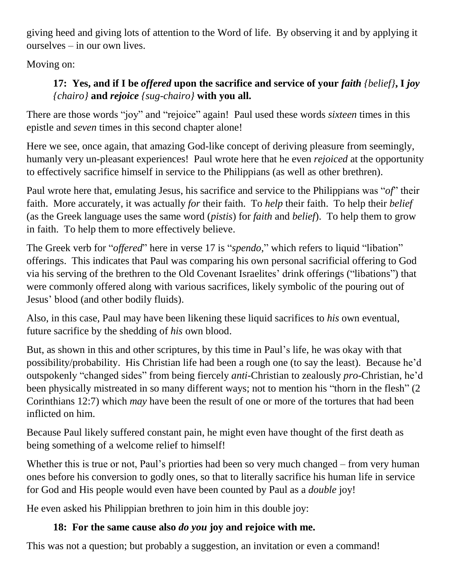giving heed and giving lots of attention to the Word of life. By observing it and by applying it ourselves – in our own lives.

Moving on:

## **17: Yes, and if I be** *offered* **upon the sacrifice and service of your** *faith {belief}***, I** *joy {chairo}* **and** *rejoice {sug-chairo}* **with you all.**

There are those words "joy" and "rejoice" again! Paul used these words *sixteen* times in this epistle and *seven* times in this second chapter alone!

Here we see, once again, that amazing God-like concept of deriving pleasure from seemingly, humanly very un-pleasant experiences! Paul wrote here that he even *rejoiced* at the opportunity to effectively sacrifice himself in service to the Philippians (as well as other brethren).

Paul wrote here that, emulating Jesus, his sacrifice and service to the Philippians was "*of*" their faith. More accurately, it was actually *for* their faith. To *help* their faith. To help their *belief* (as the Greek language uses the same word (*pistis*) for *faith* and *belief*). To help them to grow in faith. To help them to more effectively believe.

The Greek verb for "*offered*" here in verse 17 is "*spendo*," which refers to liquid "libation" offerings. This indicates that Paul was comparing his own personal sacrificial offering to God via his serving of the brethren to the Old Covenant Israelites' drink offerings ("libations") that were commonly offered along with various sacrifices, likely symbolic of the pouring out of Jesus' blood (and other bodily fluids).

Also, in this case, Paul may have been likening these liquid sacrifices to *his* own eventual, future sacrifice by the shedding of *his* own blood.

But, as shown in this and other scriptures, by this time in Paul's life, he was okay with that possibility/probability. His Christian life had been a rough one (to say the least). Because he'd outspokenly "changed sides" from being fiercely *anti*-Christian to zealously *pro*-Christian, he'd been physically mistreated in so many different ways; not to mention his "thorn in the flesh" (2) Corinthians 12:7) which *may* have been the result of one or more of the tortures that had been inflicted on him.

Because Paul likely suffered constant pain, he might even have thought of the first death as being something of a welcome relief to himself!

Whether this is true or not, Paul's priorties had been so very much changed – from very human ones before his conversion to godly ones, so that to literally sacrifice his human life in service for God and His people would even have been counted by Paul as a *double* joy!

He even asked his Philippian brethren to join him in this double joy:

## **18: For the same cause also** *do you* **joy and rejoice with me.**

This was not a question; but probably a suggestion, an invitation or even a command!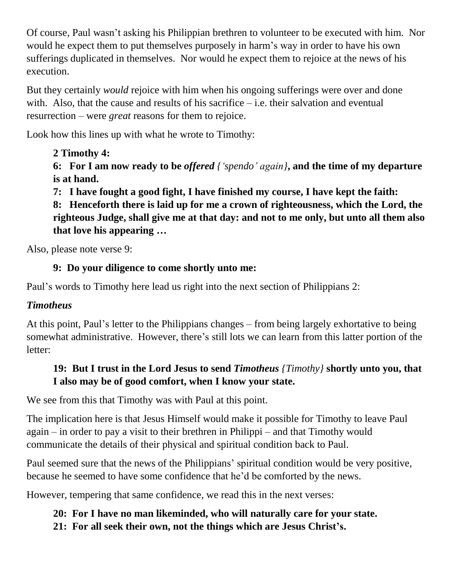Of course, Paul wasn't asking his Philippian brethren to volunteer to be executed with him. Nor would he expect them to put themselves purposely in harm's way in order to have his own sufferings duplicated in themselves. Nor would he expect them to rejoice at the news of his execution.

But they certainly *would* rejoice with him when his ongoing sufferings were over and done with. Also, that the cause and results of his sacrifice  $-$  i.e. their salvation and eventual resurrection – were *great* reasons for them to rejoice.

Look how this lines up with what he wrote to Timothy:

# **2 Timothy 4:**

**6: For I am now ready to be** *offered {'spendo' again}***, and the time of my departure is at hand.**

**7: I have fought a good fight, I have finished my course, I have kept the faith:**

**8: Henceforth there is laid up for me a crown of righteousness, which the Lord, the righteous Judge, shall give me at that day: and not to me only, but unto all them also that love his appearing …**

Also, please note verse 9:

## **9: Do your diligence to come shortly unto me:**

Paul's words to Timothy here lead us right into the next section of Philippians 2:

## *Timotheus*

At this point, Paul's letter to the Philippians changes – from being largely exhortative to being somewhat administrative. However, there's still lots we can learn from this latter portion of the letter:

## **19: But I trust in the Lord Jesus to send** *Timotheus {Timothy}* **shortly unto you, that I also may be of good comfort, when I know your state.**

We see from this that Timothy was with Paul at this point.

The implication here is that Jesus Himself would make it possible for Timothy to leave Paul again – in order to pay a visit to their brethren in Philippi – and that Timothy would communicate the details of their physical and spiritual condition back to Paul.

Paul seemed sure that the news of the Philippians' spiritual condition would be very positive, because he seemed to have some confidence that he'd be comforted by the news.

However, tempering that same confidence, we read this in the next verses:

#### **20: For I have no man likeminded, who will naturally care for your state. 21: For all seek their own, not the things which are Jesus Christ's.**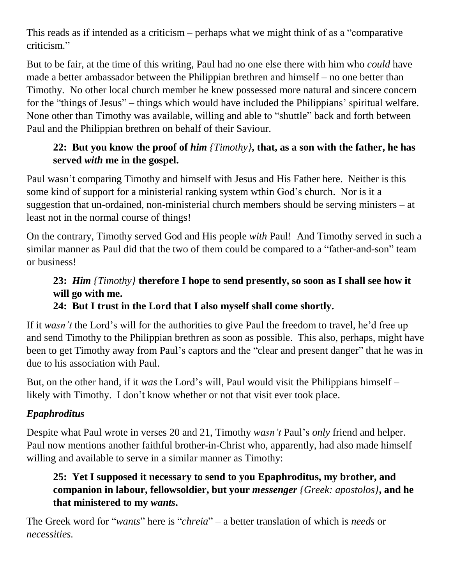This reads as if intended as a criticism – perhaps what we might think of as a "comparative criticism."

But to be fair, at the time of this writing, Paul had no one else there with him who *could* have made a better ambassador between the Philippian brethren and himself – no one better than Timothy. No other local church member he knew possessed more natural and sincere concern for the "things of Jesus" – things which would have included the Philippians' spiritual welfare. None other than Timothy was available, willing and able to "shuttle" back and forth between Paul and the Philippian brethren on behalf of their Saviour.

#### **22: But you know the proof of** *him {Timothy}***, that, as a son with the father, he has served** *with* **me in the gospel.**

Paul wasn't comparing Timothy and himself with Jesus and His Father here. Neither is this some kind of support for a ministerial ranking system wthin God's church. Nor is it a suggestion that un-ordained, non-ministerial church members should be serving ministers – at least not in the normal course of things!

On the contrary, Timothy served God and His people *with* Paul! And Timothy served in such a similar manner as Paul did that the two of them could be compared to a "father-and-son" team or business!

# **23:** *Him {Timothy}* **therefore I hope to send presently, so soon as I shall see how it will go with me.**

## **24: But I trust in the Lord that I also myself shall come shortly.**

If it *wasn't* the Lord's will for the authorities to give Paul the freedom to travel, he'd free up and send Timothy to the Philippian brethren as soon as possible. This also, perhaps, might have been to get Timothy away from Paul's captors and the "clear and present danger" that he was in due to his association with Paul.

But, on the other hand, if it *was* the Lord's will, Paul would visit the Philippians himself – likely with Timothy. I don't know whether or not that visit ever took place.

## *Epaphroditus*

Despite what Paul wrote in verses 20 and 21, Timothy *wasn't* Paul's *only* friend and helper. Paul now mentions another faithful brother-in-Christ who, apparently, had also made himself willing and available to serve in a similar manner as Timothy:

#### **25: Yet I supposed it necessary to send to you Epaphroditus, my brother, and companion in labour, fellowsoldier, but your** *messenger {Greek: apostolos}***, and he that ministered to my** *wants***.**

The Greek word for "*wants*" here is "*chreia*" – a better translation of which is *needs* or *necessities.*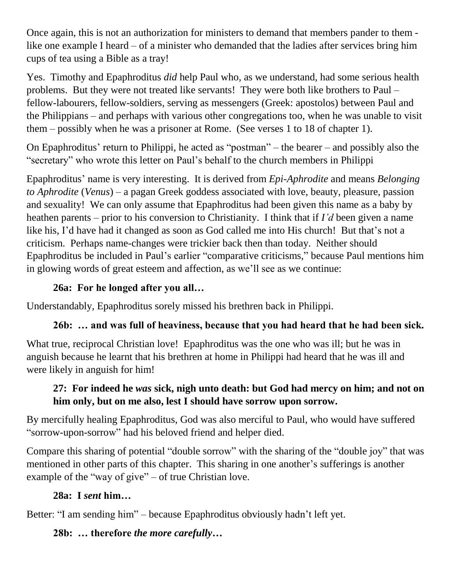Once again, this is not an authorization for ministers to demand that members pander to them like one example I heard – of a minister who demanded that the ladies after services bring him cups of tea using a Bible as a tray!

Yes. Timothy and Epaphroditus *did* help Paul who, as we understand, had some serious health problems. But they were not treated like servants! They were both like brothers to Paul – fellow-labourers, fellow-soldiers, serving as messengers (Greek: apostolos) between Paul and the Philippians – and perhaps with various other congregations too, when he was unable to visit them – possibly when he was a prisoner at Rome. (See verses 1 to 18 of chapter 1).

On Epaphroditus' return to Philippi, he acted as "postman" – the bearer – and possibly also the "secretary" who wrote this letter on Paul's behalf to the church members in Philippi

Epaphroditus' name is very interesting. It is derived from *Epi-Aphrodite* and means *Belonging to Aphrodite* (*Venus*) – a pagan Greek goddess associated with love, beauty, pleasure, passion and sexuality! We can only assume that Epaphroditus had been given this name as a baby by heathen parents – prior to his conversion to Christianity. I think that if *I'd* been given a name like his, I'd have had it changed as soon as God called me into His church! But that's not a criticism. Perhaps name-changes were trickier back then than today. Neither should Epaphroditus be included in Paul's earlier "comparative criticisms," because Paul mentions him in glowing words of great esteem and affection, as we'll see as we continue:

#### **26a: For he longed after you all…**

Understandably, Epaphroditus sorely missed his brethren back in Philippi.

#### **26b: … and was full of heaviness, because that you had heard that he had been sick.**

What true, reciprocal Christian love! Epaphroditus was the one who was ill; but he was in anguish because he learnt that his brethren at home in Philippi had heard that he was ill and were likely in anguish for him!

#### **27: For indeed he** *was* **sick, nigh unto death: but God had mercy on him; and not on him only, but on me also, lest I should have sorrow upon sorrow.**

By mercifully healing Epaphroditus, God was also merciful to Paul, who would have suffered "sorrow-upon-sorrow" had his beloved friend and helper died.

Compare this sharing of potential "double sorrow" with the sharing of the "double joy" that was mentioned in other parts of this chapter. This sharing in one another's sufferings is another example of the "way of give" – of true Christian love.

#### **28a: I** *sent* **him…**

Better: "I am sending him" – because Epaphroditus obviously hadn't left yet.

#### **28b: … therefore** *the more carefully***…**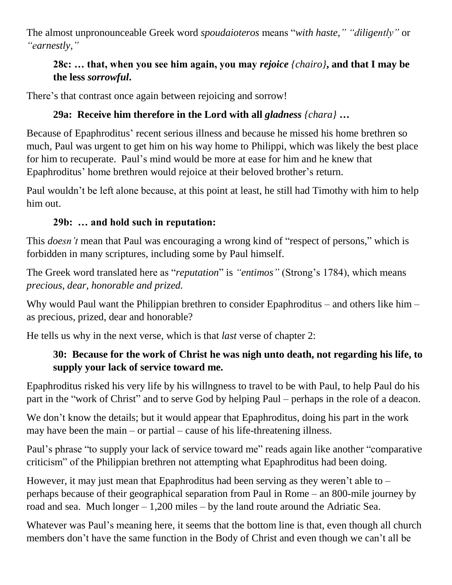The almost unpronounceable Greek word *spoudaioteros* means "*with haste," "diligently"* or *"earnestly,"*

## **28c: … that, when you see him again, you may** *rejoice {chairo}***, and that I may be the less** *sorrowful***.**

There's that contrast once again between rejoicing and sorrow!

# **29a: Receive him therefore in the Lord with all** *gladness {chara}* **…**

Because of Epaphroditus' recent serious illness and because he missed his home brethren so much, Paul was urgent to get him on his way home to Philippi, which was likely the best place for him to recuperate. Paul's mind would be more at ease for him and he knew that Epaphroditus' home brethren would rejoice at their beloved brother's return.

Paul wouldn't be left alone because, at this point at least, he still had Timothy with him to help him out.

## **29b: … and hold such in reputation:**

This *doesn't* mean that Paul was encouraging a wrong kind of "respect of persons," which is forbidden in many scriptures, including some by Paul himself.

The Greek word translated here as "*reputation*" is *"entimos"* (Strong's 1784), which means *precious, dear, honorable and prized.*

Why would Paul want the Philippian brethren to consider Epaphroditus – and others like him – as precious, prized, dear and honorable?

He tells us why in the next verse, which is that *last* verse of chapter 2:

## **30: Because for the work of Christ he was nigh unto death, not regarding his life, to supply your lack of service toward me.**

Epaphroditus risked his very life by his willngness to travel to be with Paul, to help Paul do his part in the "work of Christ" and to serve God by helping Paul – perhaps in the role of a deacon.

We don't know the details; but it would appear that Epaphroditus, doing his part in the work may have been the main – or partial – cause of his life-threatening illness.

Paul's phrase "to supply your lack of service toward me" reads again like another "comparative criticism" of the Philippian brethren not attempting what Epaphroditus had been doing.

However, it may just mean that Epaphroditus had been serving as they weren't able to  $$ perhaps because of their geographical separation from Paul in Rome – an 800-mile journey by road and sea. Much longer – 1,200 miles – by the land route around the Adriatic Sea.

Whatever was Paul's meaning here, it seems that the bottom line is that, even though all church members don't have the same function in the Body of Christ and even though we can't all be